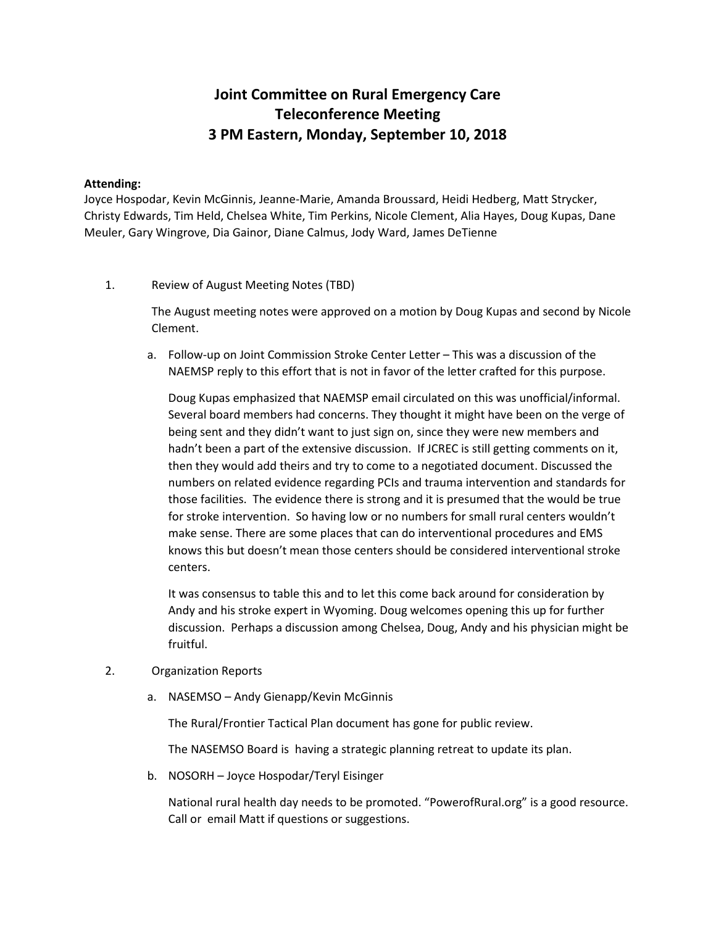## **Joint Committee on Rural Emergency Care Teleconference Meeting 3 PM Eastern, Monday, September 10, 2018**

## **Attending:**

Joyce Hospodar, Kevin McGinnis, Jeanne-Marie, Amanda Broussard, Heidi Hedberg, Matt Strycker, Christy Edwards, Tim Held, Chelsea White, Tim Perkins, Nicole Clement, Alia Hayes, Doug Kupas, Dane Meuler, Gary Wingrove, Dia Gainor, Diane Calmus, Jody Ward, James DeTienne

1. Review of August Meeting Notes (TBD)

The August meeting notes were approved on a motion by Doug Kupas and second by Nicole Clement.

a. Follow-up on Joint Commission Stroke Center Letter – This was a discussion of the NAEMSP reply to this effort that is not in favor of the letter crafted for this purpose.

Doug Kupas emphasized that NAEMSP email circulated on this was unofficial/informal. Several board members had concerns. They thought it might have been on the verge of being sent and they didn't want to just sign on, since they were new members and hadn't been a part of the extensive discussion. If JCREC is still getting comments on it, then they would add theirs and try to come to a negotiated document. Discussed the numbers on related evidence regarding PCIs and trauma intervention and standards for those facilities. The evidence there is strong and it is presumed that the would be true for stroke intervention. So having low or no numbers for small rural centers wouldn't make sense. There are some places that can do interventional procedures and EMS knows this but doesn't mean those centers should be considered interventional stroke centers.

It was consensus to table this and to let this come back around for consideration by Andy and his stroke expert in Wyoming. Doug welcomes opening this up for further discussion. Perhaps a discussion among Chelsea, Doug, Andy and his physician might be fruitful.

- 2. Organization Reports
	- a. NASEMSO Andy Gienapp/Kevin McGinnis

The Rural/Frontier Tactical Plan document has gone for public review.

The NASEMSO Board is having a strategic planning retreat to update its plan.

b. NOSORH – Joyce Hospodar/Teryl Eisinger

National rural health day needs to be promoted. "PowerofRural.org" is a good resource. Call or email Matt if questions or suggestions.